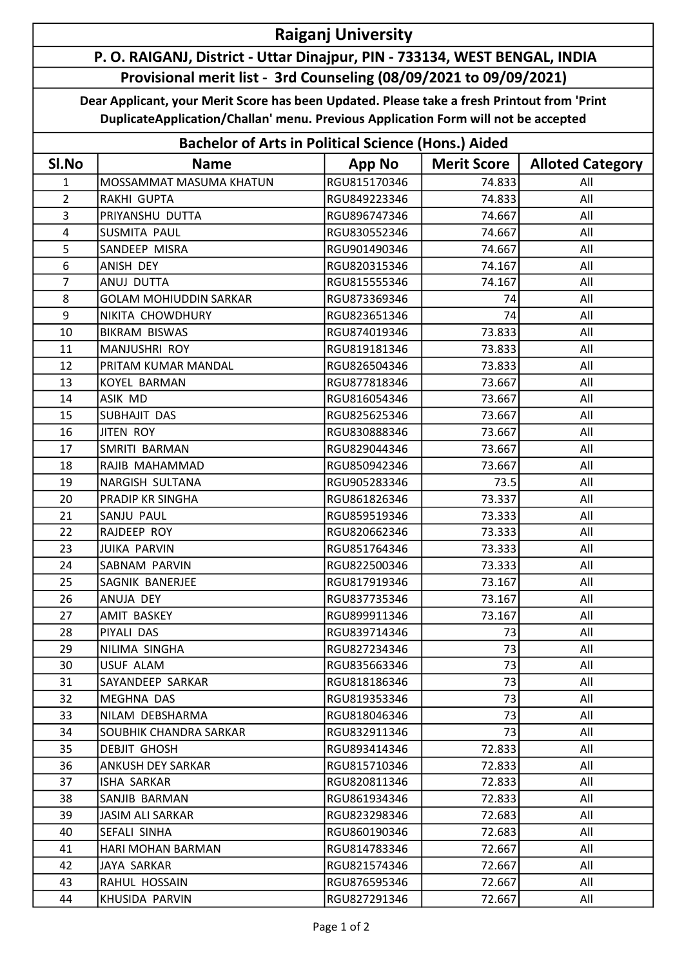## Raiganj University

## P. O. RAIGANJ, District - Uttar Dinajpur, PIN - 733134, WEST BENGAL, INDIA Provisional merit list - 3rd Counseling (08/09/2021 to 09/09/2021)

Dear Applicant, your Merit Score has been Updated. Please take a fresh Printout from 'Print DuplicateApplication/Challan' menu. Previous Application Form will not be accepted

| <b>Bachelor of Arts in Political Science (Hons.) Aided</b> |                               |               |                    |                         |  |  |  |
|------------------------------------------------------------|-------------------------------|---------------|--------------------|-------------------------|--|--|--|
| SI.No                                                      | <b>Name</b>                   | <b>App No</b> | <b>Merit Score</b> | <b>Alloted Category</b> |  |  |  |
| 1                                                          | MOSSAMMAT MASUMA KHATUN       | RGU815170346  | 74.833             | All                     |  |  |  |
| $\overline{2}$                                             | <b>RAKHI GUPTA</b>            | RGU849223346  | 74.833             | All                     |  |  |  |
| 3                                                          | PRIYANSHU DUTTA               | RGU896747346  | 74.667             | All                     |  |  |  |
| $\overline{4}$                                             | <b>SUSMITA PAUL</b>           | RGU830552346  | 74.667             | All                     |  |  |  |
| 5                                                          | SANDEEP MISRA                 | RGU901490346  | 74.667             | All                     |  |  |  |
| 6                                                          | ANISH DEY                     | RGU820315346  | 74.167             | All                     |  |  |  |
| $\overline{7}$                                             | <b>ANUJ DUTTA</b>             | RGU815555346  | 74.167             | All                     |  |  |  |
| 8                                                          | <b>GOLAM MOHIUDDIN SARKAR</b> | RGU873369346  | 74                 | All                     |  |  |  |
| 9                                                          | NIKITA CHOWDHURY              | RGU823651346  | 74                 | All                     |  |  |  |
| 10                                                         | <b>BIKRAM BISWAS</b>          | RGU874019346  | 73.833             | All                     |  |  |  |
| 11                                                         | MANJUSHRI ROY                 | RGU819181346  | 73.833             | All                     |  |  |  |
| 12                                                         | PRITAM KUMAR MANDAL           | RGU826504346  | 73.833             | All                     |  |  |  |
| 13                                                         | KOYEL BARMAN                  | RGU877818346  | 73.667             | All                     |  |  |  |
| 14                                                         | <b>ASIK MD</b>                | RGU816054346  | 73.667             | All                     |  |  |  |
| 15                                                         | SUBHAJIT DAS                  | RGU825625346  | 73.667             | All                     |  |  |  |
| 16                                                         | <b>JITEN ROY</b>              | RGU830888346  | 73.667             | All                     |  |  |  |
| 17                                                         | SMRITI BARMAN                 | RGU829044346  | 73.667             | All                     |  |  |  |
| 18                                                         | RAJIB MAHAMMAD                | RGU850942346  | 73.667             | All                     |  |  |  |
| 19                                                         | <b>NARGISH SULTANA</b>        | RGU905283346  | 73.5               | All                     |  |  |  |
| 20                                                         | <b>PRADIP KR SINGHA</b>       | RGU861826346  | 73.337             | All                     |  |  |  |
| 21                                                         | SANJU PAUL                    | RGU859519346  | 73.333             | All                     |  |  |  |
| 22                                                         | RAJDEEP ROY                   | RGU820662346  | 73.333             | All                     |  |  |  |
| 23                                                         | <b>JUIKA PARVIN</b>           | RGU851764346  | 73.333             | All                     |  |  |  |
| 24                                                         | SABNAM PARVIN                 | RGU822500346  | 73.333             | All                     |  |  |  |
| 25                                                         | <b>SAGNIK BANERJEE</b>        | RGU817919346  | 73.167             | All                     |  |  |  |
| 26                                                         | ANUJA DEY                     | RGU837735346  | 73.167             | All                     |  |  |  |
| 27                                                         | AMIT BASKEY                   | RGU899911346  | 73.167             | All                     |  |  |  |
| 28                                                         | PIYALI DAS                    | RGU839714346  | 73                 | All                     |  |  |  |
| 29                                                         | NILIMA SINGHA                 | RGU827234346  | 73                 | All                     |  |  |  |
| 30                                                         | USUF ALAM                     | RGU835663346  | 73                 | All                     |  |  |  |
| 31                                                         | SAYANDEEP SARKAR              | RGU818186346  | 73                 | All                     |  |  |  |
| 32                                                         | <b>MEGHNA DAS</b>             | RGU819353346  | 73                 | All                     |  |  |  |
| 33                                                         | NILAM DEBSHARMA               | RGU818046346  | 73                 | All                     |  |  |  |
| 34                                                         | SOUBHIK CHANDRA SARKAR        | RGU832911346  | 73                 | All                     |  |  |  |
| 35                                                         | <b>DEBJIT GHOSH</b>           | RGU893414346  | 72.833             | All                     |  |  |  |
| 36                                                         | ANKUSH DEY SARKAR             | RGU815710346  | 72.833             | All                     |  |  |  |
| 37                                                         | ISHA SARKAR                   | RGU820811346  | 72.833             | All                     |  |  |  |
| 38                                                         | SANJIB BARMAN                 | RGU861934346  | 72.833             | All                     |  |  |  |
| 39                                                         | JASIM ALI SARKAR              | RGU823298346  | 72.683             | All                     |  |  |  |
| 40                                                         | SEFALI SINHA                  | RGU860190346  | 72.683             | All                     |  |  |  |
| 41                                                         | HARI MOHAN BARMAN             | RGU814783346  | 72.667             | All                     |  |  |  |
| 42                                                         | JAYA SARKAR                   | RGU821574346  | 72.667             | All                     |  |  |  |
| 43                                                         | RAHUL HOSSAIN                 | RGU876595346  | 72.667             | All                     |  |  |  |
| 44                                                         | KHUSIDA PARVIN                | RGU827291346  | 72.667             | All                     |  |  |  |